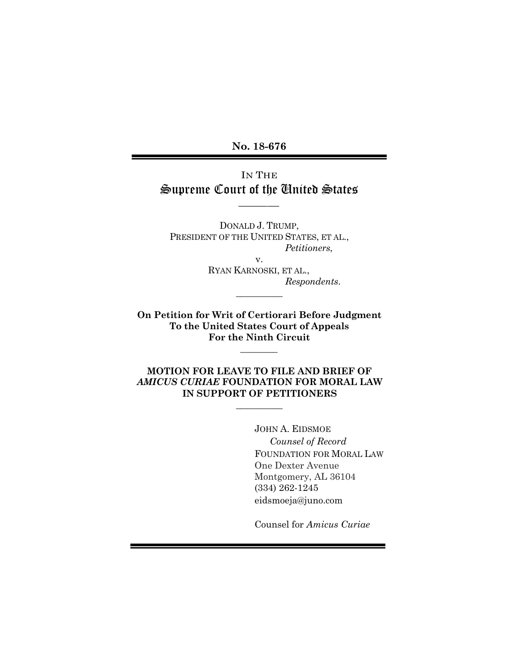**No. 18-676**

# IN THE Supreme Court of the United States

 $\overline{\phantom{a}}$ 

DONALD J. TRUMP, PRESIDENT OF THE UNITED STATES, ET AL., *Petitioners*,

v.

RYAN KARNOSKI, ET AL., *Respondents*.

**On Petition for Writ of Certiorari Before Judgment To the United States Court of Appeals For the Ninth Circuit**

 $\overline{\phantom{a}}$ 

 $\frac{1}{2}$ 

**MOTION FOR LEAVE TO FILE AND BRIEF OF**  *AMICUS CURIAE* **FOUNDATION FOR MORAL LAW IN SUPPORT OF PETITIONERS**

 $\frac{1}{2}$ 

JOHN A. EIDSMOE *Counsel of Record* FOUNDATION FOR MORAL LAW One Dexter Avenue Montgomery, AL 36104 (334) 262-1245 eidsmoeja@juno.com

Counsel for *Amicus Curiae*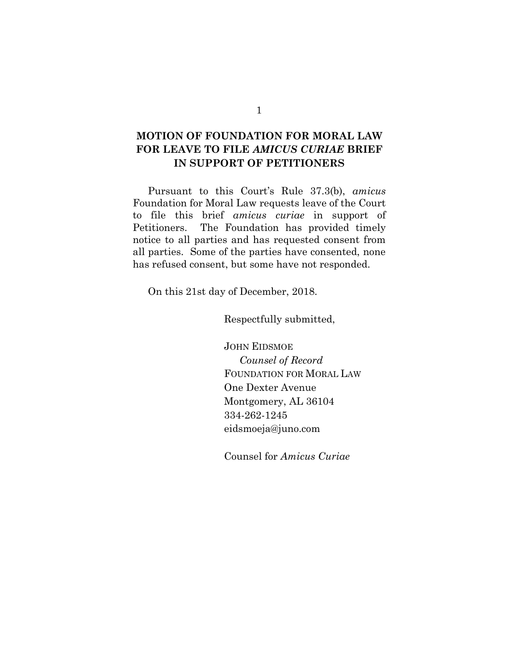# **MOTION OF FOUNDATION FOR MORAL LAW FOR LEAVE TO FILE** *AMICUS CURIAE* **BRIEF IN SUPPORT OF PETITIONERS**

Pursuant to this Court's Rule 37.3(b), *amicus* Foundation for Moral Law requests leave of the Court to file this brief *amicus curiae* in support of Petitioners. The Foundation has provided timely notice to all parties and has requested consent from all parties. Some of the parties have consented, none has refused consent, but some have not responded.

On this 21st day of December, 2018.

Respectfully submitted,

JOHN EIDSMOE *Counsel of Record* FOUNDATION FOR MORAL LAW One Dexter Avenue Montgomery, AL 36104 334-262-1245 eidsmoeja@juno.com

Counsel for *Amicus Curiae*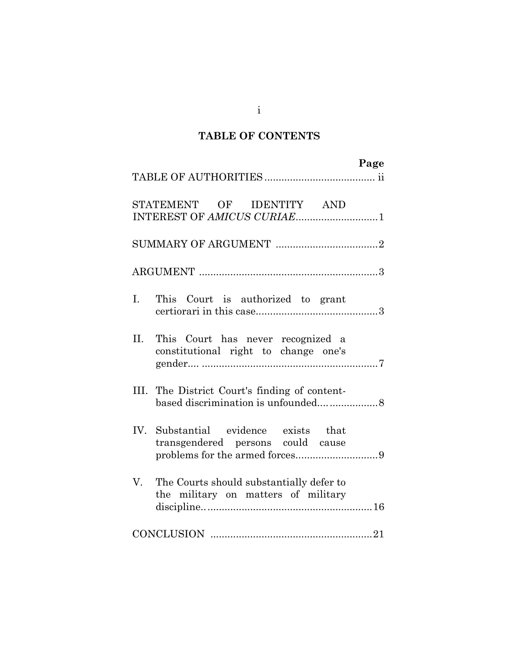# **TABLE OF CONTENTS**

| Page                                                                                  |
|---------------------------------------------------------------------------------------|
| STATEMENT OF IDENTITY AND<br>INTEREST OF AMICUS CURIAE1                               |
|                                                                                       |
|                                                                                       |
| $\mathbf{I}$ .<br>This Court is authorized to grant                                   |
| II.<br>This Court has never recognized a<br>constitutional right to change one's      |
| The District Court's finding of content-<br>III.                                      |
| IV. Substantial evidence exists that<br>transgendered persons could cause             |
| V.<br>The Courts should substantially defer to<br>the military on matters of military |
|                                                                                       |

i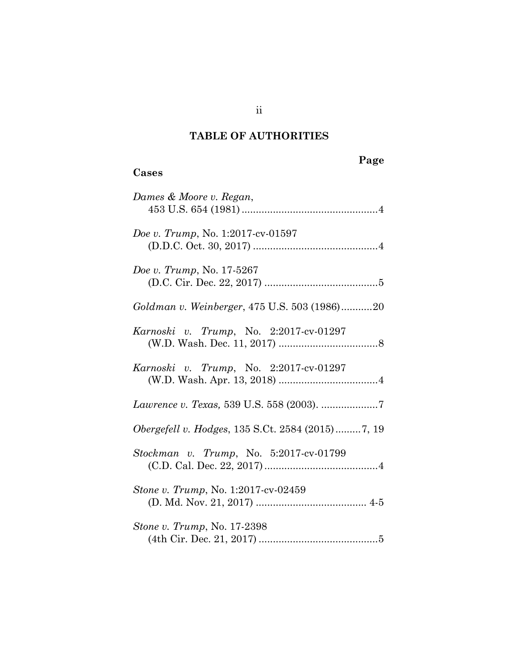# **TABLE OF AUTHORITIES**

**Cases**

# **Page**

| Dames & Moore v. Regan,                                 |
|---------------------------------------------------------|
| Doe v. Trump, No. 1:2017-cv-01597                       |
| Doe v. Trump, No. 17-5267                               |
| Goldman v. Weinberger, 475 U.S. 503 (1986)20            |
| Karnoski v. Trump, No. 2:2017-cv-01297                  |
| Karnoski v. Trump, No. 2:2017-cv-01297                  |
|                                                         |
| <i>Obergefell v. Hodges, 135 S.Ct. 2584 (2015)7, 19</i> |
| Stockman v. Trump, No. 5:2017-cv-01799                  |
| Stone v. Trump, No. 1:2017-cv-02459                     |
| Stone v. Trump, No. 17-2398                             |

ii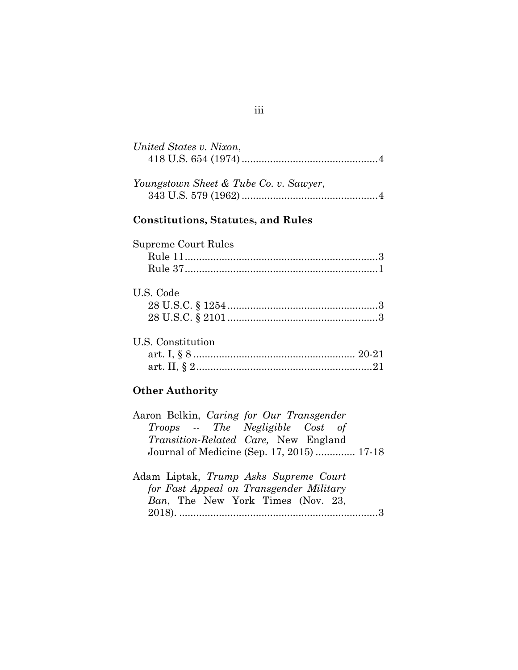| United States v. Nixon,                   |  |
|-------------------------------------------|--|
| Youngstown Sheet & Tube Co. v. Sawyer,    |  |
| <b>Constitutions, Statutes, and Rules</b> |  |
| Supreme Court Rules                       |  |
|                                           |  |
| U.S. Code                                 |  |
|                                           |  |
| U.S. Constitution                         |  |

| J.D. CONSULUTION |  |
|------------------|--|
|                  |  |
|                  |  |
|                  |  |

# **Other Authority**

| Aaron Belkin, Caring for Our Transgender |                                              |  |  |
|------------------------------------------|----------------------------------------------|--|--|
|                                          | Troops -- The Negligible Cost of             |  |  |
|                                          | <i>Transition-Related Care</i> , New England |  |  |
|                                          | Journal of Medicine (Sep. 17, 2015)  17-18   |  |  |
|                                          |                                              |  |  |
| Adam Liptak, Trump Asks Supreme Court    |                                              |  |  |

| Adam Liptak, <i>Irump Asks Supreme Court</i> |  |
|----------------------------------------------|--|
| for Fast Appeal on Transgender Military      |  |
| Ban, The New York Times (Nov. 23,            |  |
|                                              |  |
|                                              |  |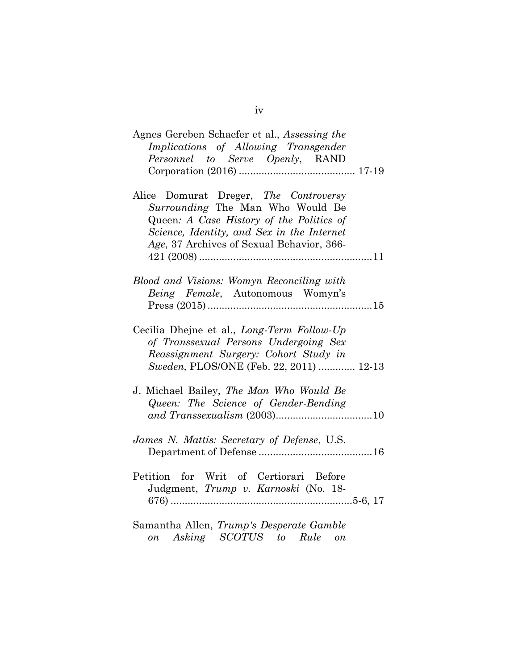| Agnes Gereben Schaefer et al., Assessing the<br>Implications of Allowing Transgender<br>Personnel to Serve Openly, RAND                                                                                          |
|------------------------------------------------------------------------------------------------------------------------------------------------------------------------------------------------------------------|
|                                                                                                                                                                                                                  |
| Alice Domurat Dreger, The Controversy<br>Surrounding The Man Who Would Be<br>Queen: A Case History of the Politics of<br>Science, Identity, and Sex in the Internet<br>Age, 37 Archives of Sexual Behavior, 366- |
| Blood and Visions: Womyn Reconciling with<br>Being Female, Autonomous Womyn's                                                                                                                                    |
| Cecilia Dhejne et al., Long-Term Follow-Up<br>of Transsexual Persons Undergoing Sex<br>Reassignment Surgery: Cohort Study in<br>Sweden, PLOS/ONE (Feb. 22, 2011)  12-13                                          |
| J. Michael Bailey, The Man Who Would Be<br>Queen: The Science of Gender-Bending                                                                                                                                  |
| James N. Mattis: Secretary of Defense, U.S.                                                                                                                                                                      |
| Petition for Writ of Certiorari Before<br>Judgment, Trump v. Karnoski (No. 18-                                                                                                                                   |
| Samantha Allen, Trump's Desperate Gamble<br>on Asking SCOTUS to Rule on                                                                                                                                          |

iv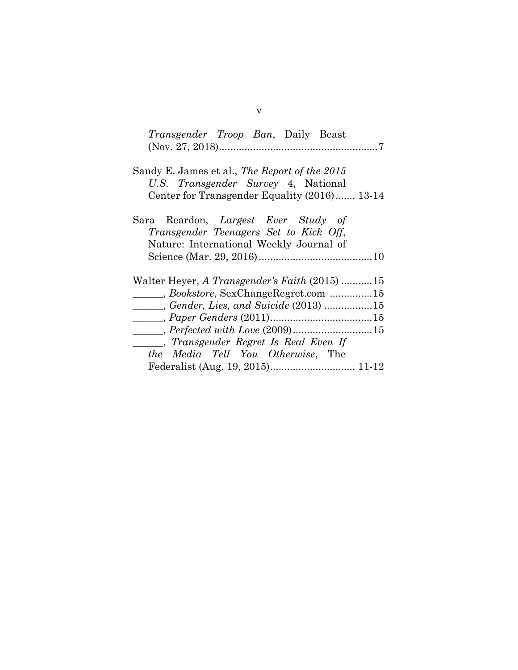| <i>Transgender Troop Ban</i> , Daily Beast                                                                                                  |
|---------------------------------------------------------------------------------------------------------------------------------------------|
| Sandy E. James et al., <i>The Report of the 2015</i><br>U.S. Transgender Survey 4, National<br>Center for Transgender Equality (2016) 13-14 |
| Sara Reardon, Largest Ever Study of<br>Transgender Teenagers Set to Kick Off,<br>Nature: International Weekly Journal of                    |
| Walter Heyer, A Transgender's Faith (2015) 15                                                                                               |
| Bookstore, SexChangeRegret.com 15                                                                                                           |
| Gender, Lies, and Suicide (2013) 15                                                                                                         |
| $\qquad \qquad \ldots, Paper~Genders~(2011) \ldots \ldots \ldots \ldots \ldots \ldots \ldots \ldots 15$                                     |
|                                                                                                                                             |
| Fransgender Regret Is Real Even If                                                                                                          |
| <i>the Media Tell You Otherwise</i> , The                                                                                                   |
| Federalist (Aug. 19, 2015) 11-12                                                                                                            |

v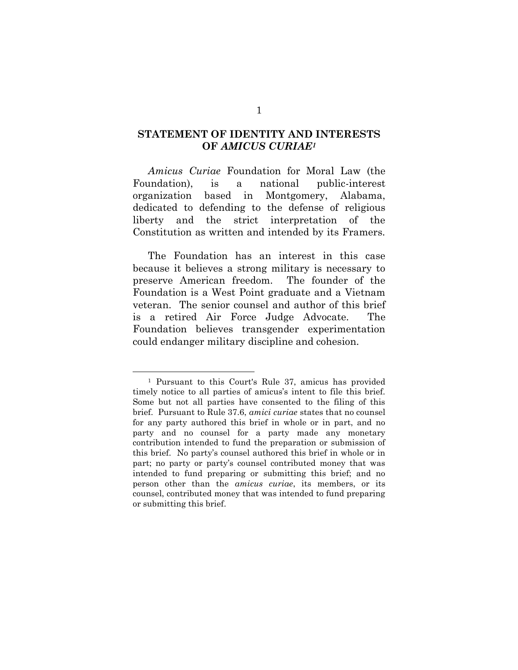## **STATEMENT OF IDENTITY AND INTERESTS OF** *AMICUS CURIAE<sup>1</sup>*

*Amicus Curiae* Foundation for Moral Law (the Foundation), is a national public-interest organization based in Montgomery, Alabama, dedicated to defending to the defense of religious liberty and the strict interpretation of the Constitution as written and intended by its Framers.

The Foundation has an interest in this case because it believes a strong military is necessary to preserve American freedom. The founder of the Foundation is a West Point graduate and a Vietnam veteran. The senior counsel and author of this brief is a retired Air Force Judge Advocate. The Foundation believes transgender experimentation could endanger military discipline and cohesion.

<sup>1</sup> Pursuant to this Court's Rule 37, amicus has provided timely notice to all parties of amicus's intent to file this brief. Some but not all parties have consented to the filing of this brief. Pursuant to Rule 37.6, *amici curiae* states that no counsel for any party authored this brief in whole or in part, and no party and no counsel for a party made any monetary contribution intended to fund the preparation or submission of this brief. No party's counsel authored this brief in whole or in part; no party or party's counsel contributed money that was intended to fund preparing or submitting this brief; and no person other than the *amicus curiae*, its members, or its counsel, contributed money that was intended to fund preparing or submitting this brief.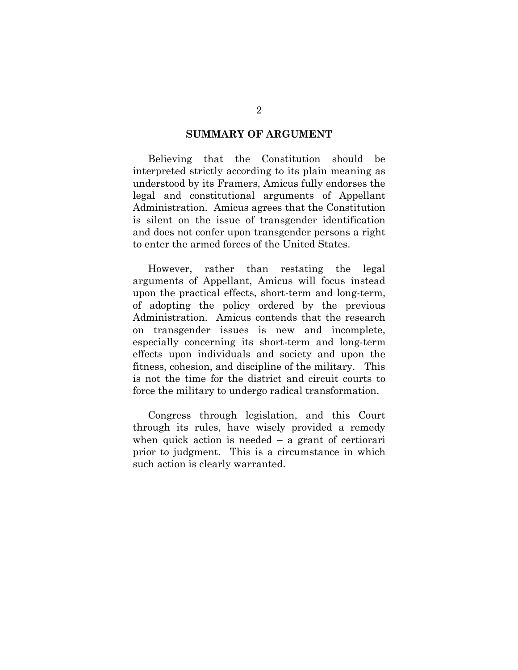#### **SUMMARY OF ARGUMENT**

Believing that the Constitution should be interpreted strictly according to its plain meaning as understood by its Framers, Amicus fully endorses the legal and constitutional arguments of Appellant Administration. Amicus agrees that the Constitution is silent on the issue of transgender identification and does not confer upon transgender persons a right to enter the armed forces of the United States.

However, rather than restating the legal arguments of Appellant, Amicus will focus instead upon the practical effects, short-term and long-term, of adopting the policy ordered by the previous Administration. Amicus contends that the research on transgender issues is new and incomplete, especially concerning its short-term and long-term effects upon individuals and society and upon the fitness, cohesion, and discipline of the military. This is not the time for the district and circuit courts to force the military to undergo radical transformation.

Congress through legislation, and this Court through its rules, have wisely provided a remedy when quick action is needed  $-$  a grant of certiorari prior to judgment. This is a circumstance in which such action is clearly warranted.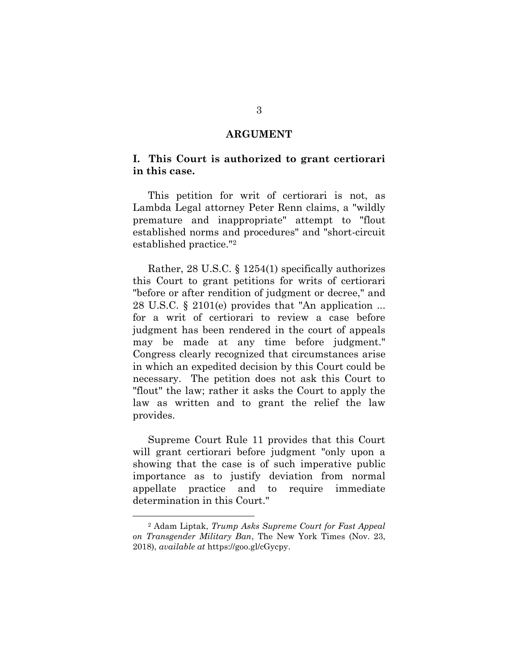#### **ARGUMENT**

### **I. This Court is authorized to grant certiorari in this case.**

This petition for writ of certiorari is not, as Lambda Legal attorney Peter Renn claims, a "wildly premature and inappropriate" attempt to "flout established norms and procedures" and "short-circuit established practice."<sup>2</sup>

Rather, 28 U.S.C. § 1254(1) specifically authorizes this Court to grant petitions for writs of certiorari "before or after rendition of judgment or decree," and 28 U.S.C. § 2101(e) provides that "An application ... for a writ of certiorari to review a case before judgment has been rendered in the court of appeals may be made at any time before judgment." Congress clearly recognized that circumstances arise in which an expedited decision by this Court could be necessary. The petition does not ask this Court to "flout" the law; rather it asks the Court to apply the law as written and to grant the relief the law provides.

Supreme Court Rule 11 provides that this Court will grant certiorari before judgment "only upon a showing that the case is of such imperative public importance as to justify deviation from normal appellate practice and to require immediate determination in this Court."

<sup>2</sup> Adam Liptak, *Trump Asks Supreme Court for Fast Appeal on Transgender Military Ban*, The New York Times (Nov. 23, 2018), *available at* https://goo.gl/cGycpy.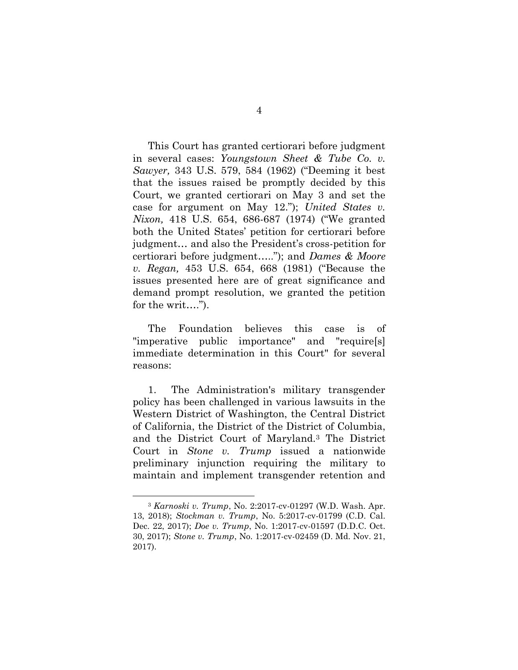This Court has granted certiorari before judgment in several cases: *Youngstown Sheet & Tube Co. v. Sawyer,* 343 U.S. 579, 584 (1962) ("Deeming it best that the issues raised be promptly decided by this Court, we granted certiorari on May 3 and set the case for argument on May 12."); *United States v. Nixon,* 418 U.S. 654, 686-687 (1974) ("We granted both the United States' petition for certiorari before judgment… and also the President's cross-petition for certiorari before judgment….."); and *Dames & Moore v. Regan,* 453 U.S. 654, 668 (1981) ("Because the issues presented here are of great significance and demand prompt resolution, we granted the petition for the writ....").

The Foundation believes this case is of "imperative public importance" and "require[s] immediate determination in this Court" for several reasons:

1. The Administration's military transgender policy has been challenged in various lawsuits in the Western District of Washington, the Central District of California, the District of the District of Columbia, and the District Court of Maryland.<sup>3</sup> The District Court in *Stone v. Trump* issued a nationwide preliminary injunction requiring the military to maintain and implement transgender retention and

<sup>3</sup> *Karnoski v. Trump*, No. 2:2017-cv-01297 (W.D. Wash. Apr. 13, 2018); *Stockman v. Trump*, No. 5:2017-cv-01799 (C.D. Cal. Dec. 22, 2017); *Doe v. Trump*, No. 1:2017-cv-01597 (D.D.C. Oct. 30, 2017); *Stone v. Trump*, No. 1:2017-cv-02459 (D. Md. Nov. 21, 2017).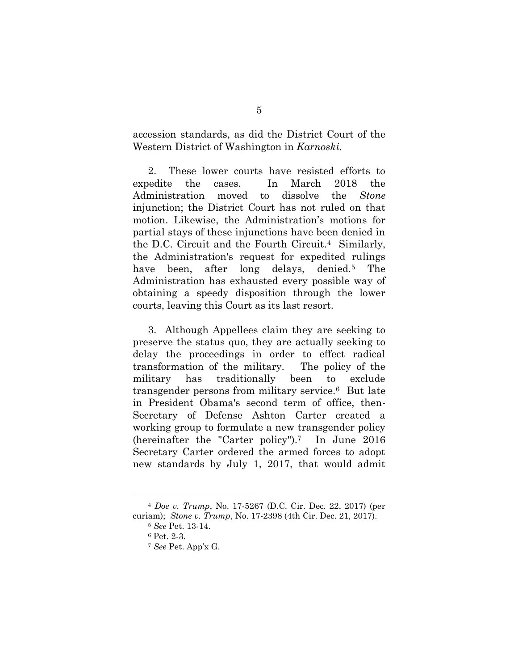accession standards, as did the District Court of the Western District of Washington in *Karnoski.* 

2. These lower courts have resisted efforts to expedite the cases. In March 2018 the Administration moved to dissolve the *Stone*  injunction; the District Court has not ruled on that motion. Likewise, the Administration's motions for partial stays of these injunctions have been denied in the D.C. Circuit and the Fourth Circuit.<sup>4</sup> Similarly, the Administration's request for expedited rulings have been, after long delays, denied.<sup>5</sup> The Administration has exhausted every possible way of obtaining a speedy disposition through the lower courts, leaving this Court as its last resort.

3. Although Appellees claim they are seeking to preserve the status quo, they are actually seeking to delay the proceedings in order to effect radical transformation of the military. The policy of the military has traditionally been to exclude transgender persons from military service.6 But late in President Obama's second term of office, then-Secretary of Defense Ashton Carter created a working group to formulate a new transgender policy (hereinafter the "Carter policy").<sup>7</sup> In June 2016 Secretary Carter ordered the armed forces to adopt new standards by July 1, 2017, that would admit

<sup>4</sup> *Doe v. Trump*, No. 17-5267 (D.C. Cir. Dec. 22, 2017) (per curiam); *Stone v. Trump*, No. 17-2398 (4th Cir. Dec. 21, 2017).

<sup>5</sup> *See* Pet. 13-14.

<sup>6</sup> Pet. 2-3.

<sup>7</sup> *See* Pet. App'x G.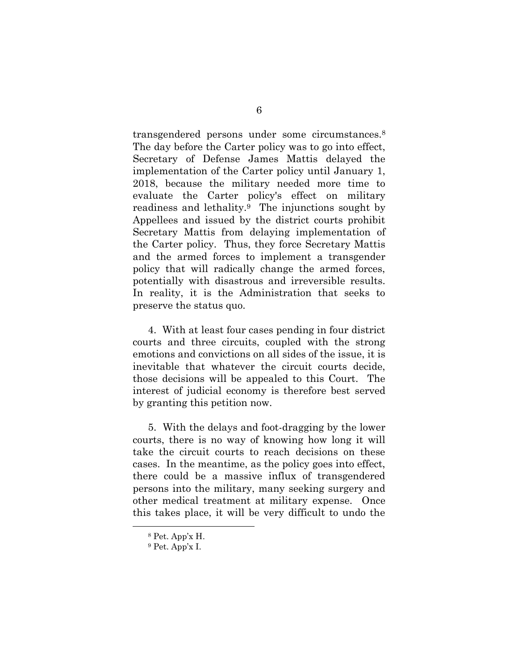transgendered persons under some circumstances.<sup>8</sup> The day before the Carter policy was to go into effect, Secretary of Defense James Mattis delayed the implementation of the Carter policy until January 1, 2018, because the military needed more time to evaluate the Carter policy's effect on military readiness and lethality.9 The injunctions sought by Appellees and issued by the district courts prohibit Secretary Mattis from delaying implementation of the Carter policy. Thus, they force Secretary Mattis and the armed forces to implement a transgender policy that will radically change the armed forces, potentially with disastrous and irreversible results. In reality, it is the Administration that seeks to preserve the status quo.

4. With at least four cases pending in four district courts and three circuits, coupled with the strong emotions and convictions on all sides of the issue, it is inevitable that whatever the circuit courts decide, those decisions will be appealed to this Court. The interest of judicial economy is therefore best served by granting this petition now.

5. With the delays and foot-dragging by the lower courts, there is no way of knowing how long it will take the circuit courts to reach decisions on these cases. In the meantime, as the policy goes into effect, there could be a massive influx of transgendered persons into the military, many seeking surgery and other medical treatment at military expense. Once this takes place, it will be very difficult to undo the

<sup>8</sup> Pet. App'x H.

<sup>9</sup> Pet. App'x I.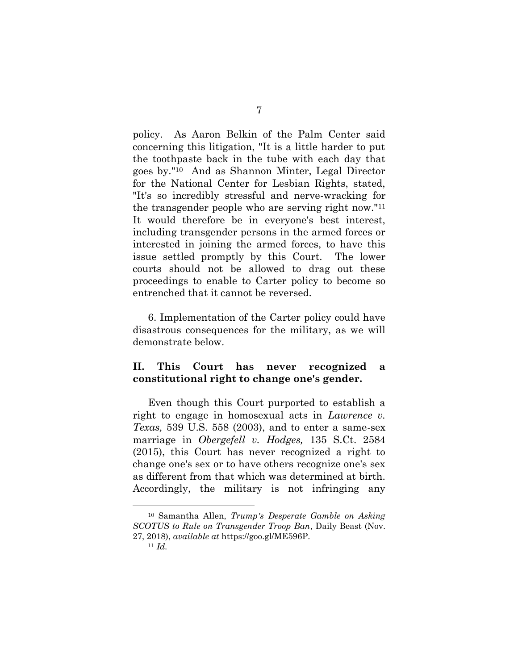policy. As Aaron Belkin of the Palm Center said concerning this litigation, "It is a little harder to put the toothpaste back in the tube with each day that goes by."10 And as Shannon Minter, Legal Director for the National Center for Lesbian Rights, stated, "It's so incredibly stressful and nerve-wracking for the transgender people who are serving right now."<sup>11</sup> It would therefore be in everyone's best interest, including transgender persons in the armed forces or interested in joining the armed forces, to have this issue settled promptly by this Court. The lower courts should not be allowed to drag out these proceedings to enable to Carter policy to become so entrenched that it cannot be reversed.

6. Implementation of the Carter policy could have disastrous consequences for the military, as we will demonstrate below.

## **II. This Court has never recognized a constitutional right to change one's gender.**

Even though this Court purported to establish a right to engage in homosexual acts in *Lawrence v. Texas,* 539 U.S. 558 (2003), and to enter a same-sex marriage in *Obergefell v. Hodges,* 135 S.Ct. 2584 (2015), this Court has never recognized a right to change one's sex or to have others recognize one's sex as different from that which was determined at birth. Accordingly, the military is not infringing any

<sup>10</sup> Samantha Allen, *Trump's Desperate Gamble on Asking SCOTUS to Rule on Transgender Troop Ban*, Daily Beast (Nov. 27, 2018), *available at* https://goo.gl/ME596P.

 $11$  *Id.*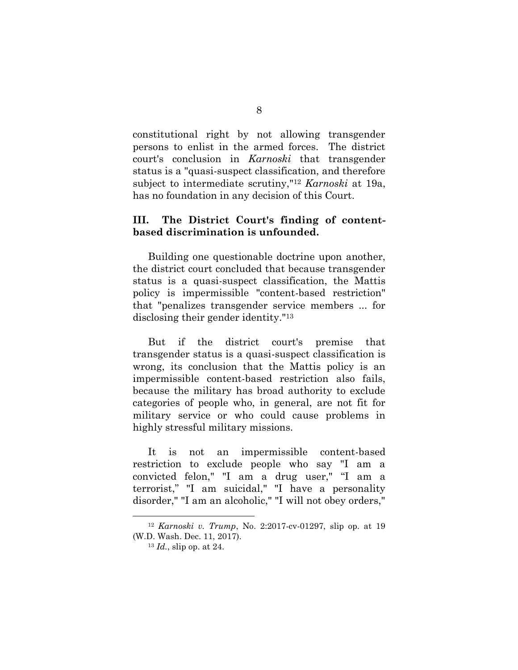constitutional right by not allowing transgender persons to enlist in the armed forces. The district court's conclusion in *Karnoski* that transgender status is a "quasi-suspect classification, and therefore subject to intermediate scrutiny,"<sup>12</sup> *Karnoski* at 19a, has no foundation in any decision of this Court.

### **III. The District Court's finding of contentbased discrimination is unfounded.**

Building one questionable doctrine upon another, the district court concluded that because transgender status is a quasi-suspect classification, the Mattis policy is impermissible "content-based restriction" that "penalizes transgender service members ... for disclosing their gender identity."<sup>13</sup>

But if the district court's premise that transgender status is a quasi-suspect classification is wrong, its conclusion that the Mattis policy is an impermissible content-based restriction also fails, because the military has broad authority to exclude categories of people who, in general, are not fit for military service or who could cause problems in highly stressful military missions.

It is not an impermissible content-based restriction to exclude people who say "I am a convicted felon," "I am a drug user," "I am a terrorist," "I am suicidal," "I have a personality disorder," "I am an alcoholic," "I will not obey orders,"

<sup>12</sup> *Karnoski v. Trump*, No. 2:2017-cv-01297, slip op. at 19 (W.D. Wash. Dec. 11, 2017).

<sup>13</sup> *Id.*, slip op. at 24.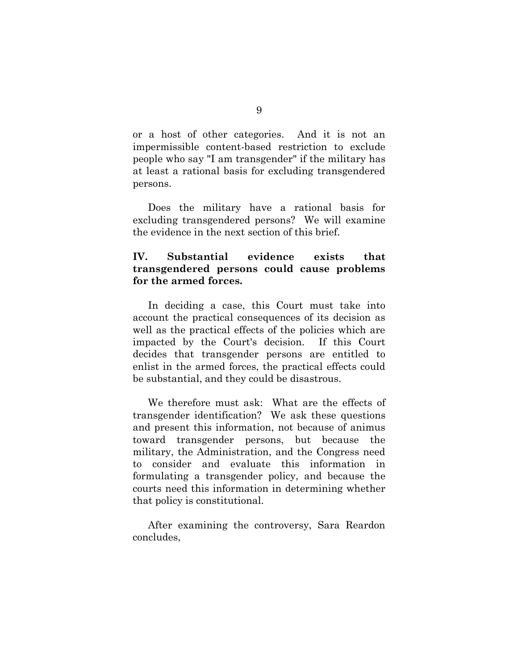or a host of other categories. And it is not an impermissible content-based restriction to exclude people who say "I am transgender" if the military has at least a rational basis for excluding transgendered persons.

Does the military have a rational basis for excluding transgendered persons? We will examine the evidence in the next section of this brief.

## **IV. Substantial evidence exists that transgendered persons could cause problems for the armed forces.**

In deciding a case, this Court must take into account the practical consequences of its decision as well as the practical effects of the policies which are impacted by the Court's decision. If this Court decides that transgender persons are entitled to enlist in the armed forces, the practical effects could be substantial, and they could be disastrous.

We therefore must ask: What are the effects of transgender identification? We ask these questions and present this information, not because of animus toward transgender persons, but because the military, the Administration, and the Congress need to consider and evaluate this information in formulating a transgender policy, and because the courts need this information in determining whether that policy is constitutional.

After examining the controversy, Sara Reardon concludes,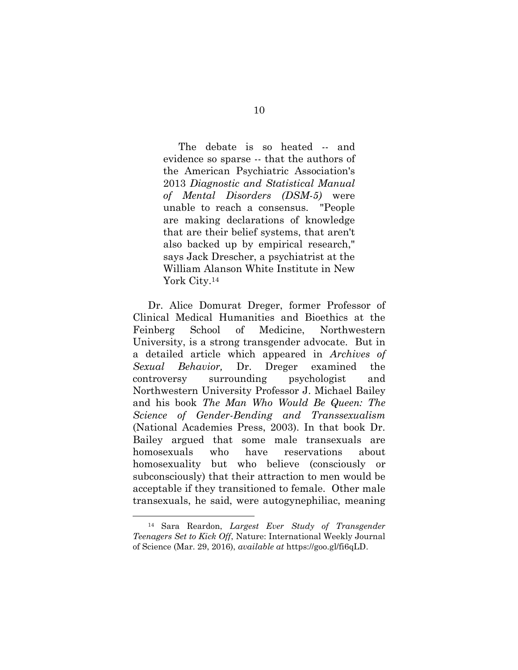The debate is so heated -- and evidence so sparse -- that the authors of the American Psychiatric Association's 2013 *Diagnostic and Statistical Manual of Mental Disorders (DSM-5)* were unable to reach a consensus. "People are making declarations of knowledge that are their belief systems, that aren't also backed up by empirical research," says Jack Drescher, a psychiatrist at the William Alanson White Institute in New York City.<sup>14</sup>

Dr. Alice Domurat Dreger, former Professor of Clinical Medical Humanities and Bioethics at the Feinberg School of Medicine, Northwestern University, is a strong transgender advocate. But in a detailed article which appeared in *Archives of Sexual Behavior,* Dr. Dreger examined the controversy surrounding psychologist and Northwestern University Professor J. Michael Bailey and his book *The Man Who Would Be Queen: The Science of Gender-Bending and Transsexualism*  (National Academies Press, 2003). In that book Dr. Bailey argued that some male transexuals are homosexuals who have reservations about homosexuality but who believe (consciously or subconsciously) that their attraction to men would be acceptable if they transitioned to female. Other male transexuals, he said, were autogynephiliac, meaning

<sup>14</sup> Sara Reardon, *Largest Ever Study of Transgender Teenagers Set to Kick Off*, Nature: International Weekly Journal of Science (Mar. 29, 2016), *available at* https://goo.gl/fi6qLD.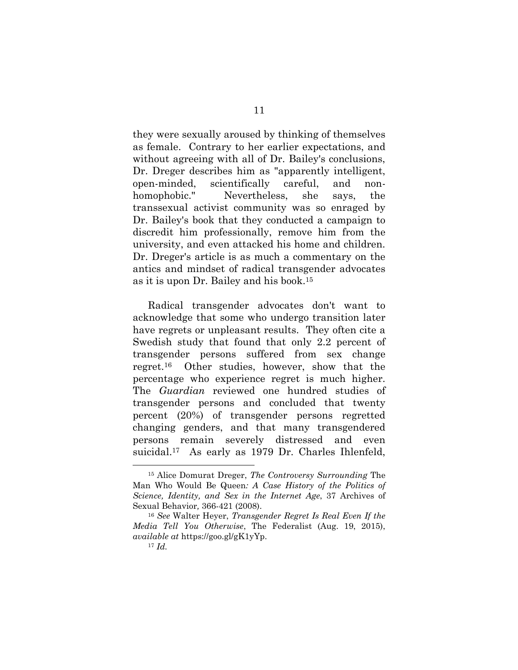they were sexually aroused by thinking of themselves as female. Contrary to her earlier expectations, and without agreeing with all of Dr. Bailey's conclusions, Dr. Dreger describes him as "apparently intelligent, open-minded, scientifically careful, and nonhomophobic." Nevertheless, she says, the transsexual activist community was so enraged by Dr. Bailey's book that they conducted a campaign to discredit him professionally, remove him from the university, and even attacked his home and children. Dr. Dreger's article is as much a commentary on the antics and mindset of radical transgender advocates as it is upon Dr. Bailey and his book.<sup>15</sup>

Radical transgender advocates don't want to acknowledge that some who undergo transition later have regrets or unpleasant results. They often cite a Swedish study that found that only 2.2 percent of transgender persons suffered from sex change regret.16 Other studies, however, show that the percentage who experience regret is much higher. The *Guardian* reviewed one hundred studies of transgender persons and concluded that twenty percent (20%) of transgender persons regretted changing genders, and that many transgendered persons remain severely distressed and even suicidal.<sup>17</sup> As early as 1979 Dr. Charles Ihlenfeld,

<sup>15</sup> Alice Domurat Dreger, *The Controversy Surrounding* The Man Who Would Be Queen*: A Case History of the Politics of Science, Identity, and Sex in the Internet Age*, 37 Archives of Sexual Behavior*,* 366-421 (2008).

<sup>16</sup> *See* Walter Heyer, *Transgender Regret Is Real Even If the Media Tell You Otherwise*, The Federalist (Aug. 19, 2015), *available at* https://goo.gl/gK1yYp.

<sup>17</sup> *Id.*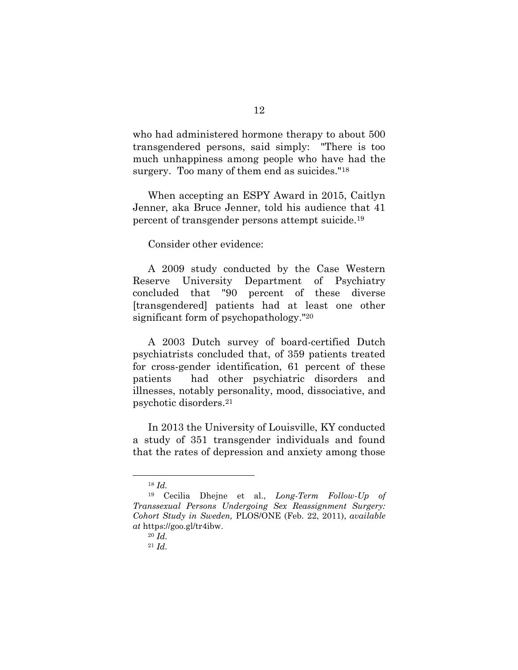who had administered hormone therapy to about 500 transgendered persons, said simply: "There is too much unhappiness among people who have had the surgery. Too many of them end as suicides."<sup>18</sup>

When accepting an ESPY Award in 2015, Caitlyn Jenner, aka Bruce Jenner, told his audience that 41 percent of transgender persons attempt suicide.<sup>19</sup>

Consider other evidence:

A 2009 study conducted by the Case Western Reserve University Department of Psychiatry concluded that "90 percent of these diverse [transgendered] patients had at least one other significant form of psychopathology."<sup>20</sup>

A 2003 Dutch survey of board-certified Dutch psychiatrists concluded that, of 359 patients treated for cross-gender identification, 61 percent of these patients had other psychiatric disorders and illnesses, notably personality, mood, dissociative, and psychotic disorders.<sup>21</sup>

In 2013 the University of Louisville, KY conducted a study of 351 transgender individuals and found that the rates of depression and anxiety among those

<sup>18</sup> *Id.*

<sup>19</sup> Cecilia Dhejne et al., *Long-Term Follow-Up of Transsexual Persons Undergoing Sex Reassignment Surgery: Cohort Study in Sweden,* PLOS/ONE (Feb. 22, 2011), *available at* https://goo.gl/tr4ibw.

<sup>20</sup> *Id.*

<sup>21</sup> *Id.*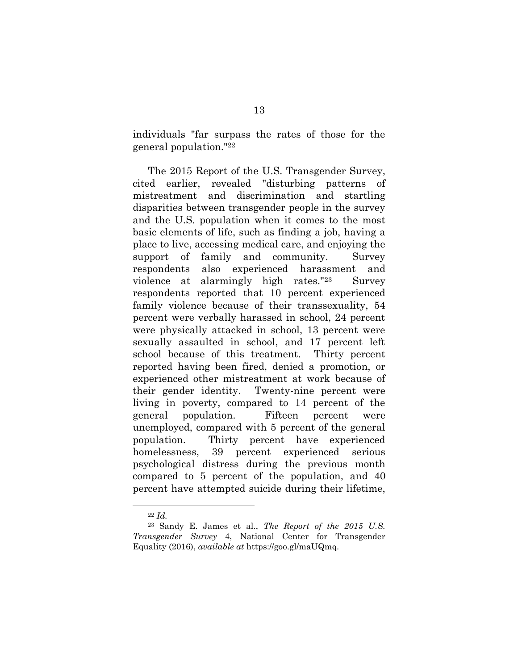individuals "far surpass the rates of those for the general population."<sup>22</sup>

The 2015 Report of the U.S. Transgender Survey, cited earlier, revealed "disturbing patterns of mistreatment and discrimination and startling disparities between transgender people in the survey and the U.S. population when it comes to the most basic elements of life, such as finding a job, having a place to live, accessing medical care, and enjoying the support of family and community. Survey respondents also experienced harassment and violence at alarmingly high rates."23 Survey respondents reported that 10 percent experienced family violence because of their transsexuality, 54 percent were verbally harassed in school, 24 percent were physically attacked in school, 13 percent were sexually assaulted in school, and 17 percent left school because of this treatment. Thirty percent reported having been fired, denied a promotion, or experienced other mistreatment at work because of their gender identity. Twenty-nine percent were living in poverty, compared to 14 percent of the general population. Fifteen percent were unemployed, compared with 5 percent of the general population. Thirty percent have experienced homelessness, 39 percent experienced serious psychological distress during the previous month compared to 5 percent of the population, and 40 percent have attempted suicide during their lifetime,

<sup>22</sup> *Id.*

<sup>23</sup> Sandy E. James et al., *The Report of the 2015 U.S. Transgender Survey* 4, National Center for Transgender Equality (2016), *available at* https://goo.gl/maUQmq.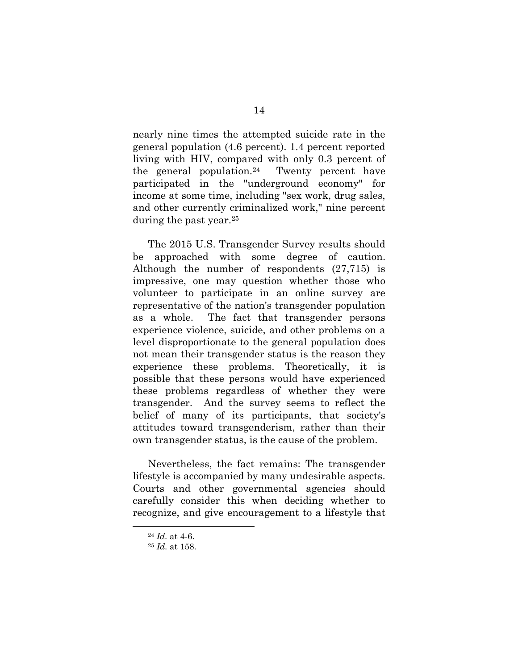nearly nine times the attempted suicide rate in the general population (4.6 percent). 1.4 percent reported living with HIV, compared with only 0.3 percent of the general population.24 Twenty percent have participated in the "underground economy" for income at some time, including "sex work, drug sales, and other currently criminalized work," nine percent during the past year.<sup>25</sup>

The 2015 U.S. Transgender Survey results should be approached with some degree of caution. Although the number of respondents (27,715) is impressive, one may question whether those who volunteer to participate in an online survey are representative of the nation's transgender population as a whole. The fact that transgender persons experience violence, suicide, and other problems on a level disproportionate to the general population does not mean their transgender status is the reason they experience these problems. Theoretically, it is possible that these persons would have experienced these problems regardless of whether they were transgender. And the survey seems to reflect the belief of many of its participants, that society's attitudes toward transgenderism, rather than their own transgender status, is the cause of the problem.

Nevertheless, the fact remains: The transgender lifestyle is accompanied by many undesirable aspects. Courts and other governmental agencies should carefully consider this when deciding whether to recognize, and give encouragement to a lifestyle that

<sup>24</sup> *Id.* at 4-6.

<sup>25</sup> *Id.* at 158.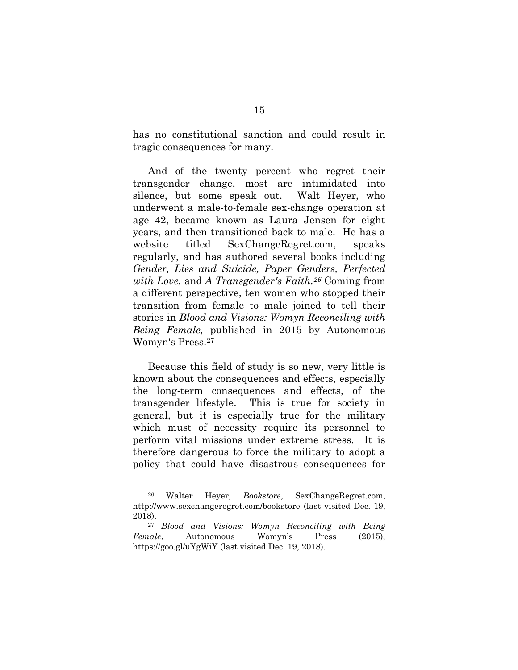has no constitutional sanction and could result in tragic consequences for many.

And of the twenty percent who regret their transgender change, most are intimidated into silence, but some speak out. Walt Heyer, who underwent a male-to-female sex-change operation at age 42, became known as Laura Jensen for eight years, and then transitioned back to male. He has a website titled SexChangeRegret.com, speaks regularly, and has authored several books including *Gender, Lies and Suicide, Paper Genders, Perfected with Love,* and *A Transgender's Faith.<sup>26</sup>* Coming from a different perspective, ten women who stopped their transition from female to male joined to tell their stories in *Blood and Visions: Womyn Reconciling with Being Female,* published in 2015 by Autonomous Womyn's Press. 27

Because this field of study is so new, very little is known about the consequences and effects, especially the long-term consequences and effects, of the transgender lifestyle. This is true for society in general, but it is especially true for the military which must of necessity require its personnel to perform vital missions under extreme stress. It is therefore dangerous to force the military to adopt a policy that could have disastrous consequences for

<sup>26</sup> Walter Heyer, *Bookstore*, SexChangeRegret.com, http://www.sexchangeregret.com/bookstore (last visited Dec. 19, 2018).

<sup>27</sup> *Blood and Visions: Womyn Reconciling with Being Female*, Autonomous Womyn's Press (2015), https://goo.gl/uYgWiY (last visited Dec. 19, 2018).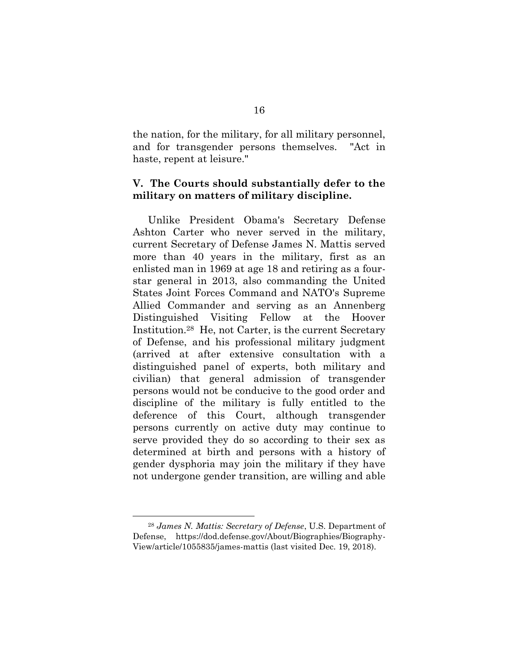the nation, for the military, for all military personnel, and for transgender persons themselves. "Act in haste, repent at leisure."

## **V. The Courts should substantially defer to the military on matters of military discipline.**

Unlike President Obama's Secretary Defense Ashton Carter who never served in the military, current Secretary of Defense James N. Mattis served more than 40 years in the military, first as an enlisted man in 1969 at age 18 and retiring as a fourstar general in 2013, also commanding the United States Joint Forces Command and NATO's Supreme Allied Commander and serving as an Annenberg Distinguished Visiting Fellow at the Hoover Institution.28 He, not Carter, is the current Secretary of Defense, and his professional military judgment (arrived at after extensive consultation with a distinguished panel of experts, both military and civilian) that general admission of transgender persons would not be conducive to the good order and discipline of the military is fully entitled to the deference of this Court, although transgender persons currently on active duty may continue to serve provided they do so according to their sex as determined at birth and persons with a history of gender dysphoria may join the military if they have not undergone gender transition, are willing and able

<sup>28</sup> *James N. Mattis: Secretary of Defense*, U.S. Department of Defense, https://dod.defense.gov/About/Biographies/Biography-View/article/1055835/james-mattis (last visited Dec. 19, 2018).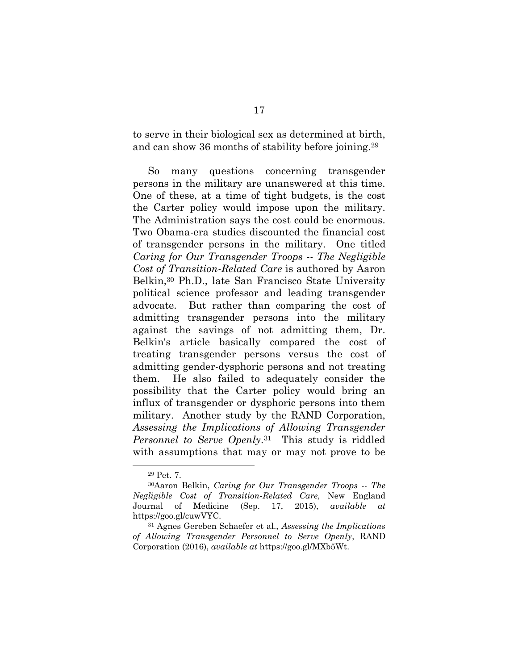to serve in their biological sex as determined at birth, and can show 36 months of stability before joining.<sup>29</sup>

<span id="page-23-0"></span>So many questions concerning transgender persons in the military are unanswered at this time. One of these, at a time of tight budgets, is the cost the Carter policy would impose upon the military. The Administration says the cost could be enormous. Two Obama-era studies discounted the financial cost of transgender persons in the military. One titled *Caring for Our Transgender Troops -- The Negligible Cost of Transition-Related Care* is authored by Aaron Belkin,<sup>30</sup> Ph.D., late San Francisco State University political science professor and leading transgender advocate. But rather than comparing the cost of admitting transgender persons into the military against the savings of not admitting them, Dr. Belkin's article basically compared the cost of treating transgender persons versus the cost of admitting gender-dysphoric persons and not treating them. He also failed to adequately consider the possibility that the Carter policy would bring an influx of transgender or dysphoric persons into them military. Another study by the RAND Corporation, *Assessing the Implications of Allowing Transgender Personnel to Serve Openly*. <sup>31</sup> This study is riddled with assumptions that may or may not prove to be

<span id="page-23-1"></span><sup>29</sup> Pet. 7.

<sup>30</sup>Aaron Belkin, *Caring for Our Transgender Troops -- The Negligible Cost of Transition-Related Care,* New England Journal of Medicine (Sep. 17, 2015), *available at* https://goo.gl/cuwVYC.

<sup>31</sup> Agnes Gereben Schaefer et al., *Assessing the Implications of Allowing Transgender Personnel to Serve Openly*, RAND Corporation (2016), *available at* https://goo.gl/MXb5Wt.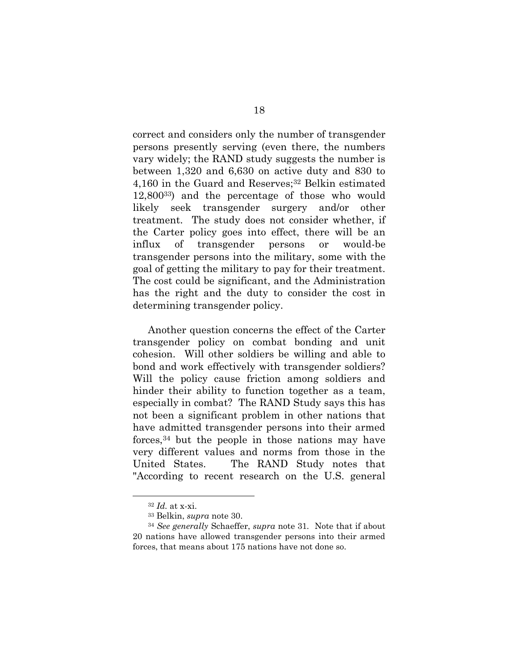correct and considers only the number of transgender persons presently serving (even there, the numbers vary widely; the RAND study suggests the number is between 1,320 and 6,630 on active duty and 830 to 4,160 in the Guard and Reserves;<sup>32</sup> Belkin estimated 12,80033) and the percentage of those who would likely seek transgender surgery and/or other treatment. The study does not consider whether, if the Carter policy goes into effect, there will be an influx of transgender persons or would-be transgender persons into the military, some with the goal of getting the military to pay for their treatment. The cost could be significant, and the Administration has the right and the duty to consider the cost in determining transgender policy.

Another question concerns the effect of the Carter transgender policy on combat bonding and unit cohesion. Will other soldiers be willing and able to bond and work effectively with transgender soldiers? Will the policy cause friction among soldiers and hinder their ability to function together as a team, especially in combat? The RAND Study says this has not been a significant problem in other nations that have admitted transgender persons into their armed forces,<sup>34</sup> but the people in those nations may have very different values and norms from those in the United States. The RAND Study notes that "According to recent research on the U.S. general

<sup>32</sup> *Id.* at x-xi.

<sup>33</sup> Belkin, *supra* note [30.](#page-23-0)

<sup>34</sup> *See generally* Schaeffer, *supra* note [31](#page-23-1)*.* Note that if about 20 nations have allowed transgender persons into their armed forces, that means about 175 nations have not done so.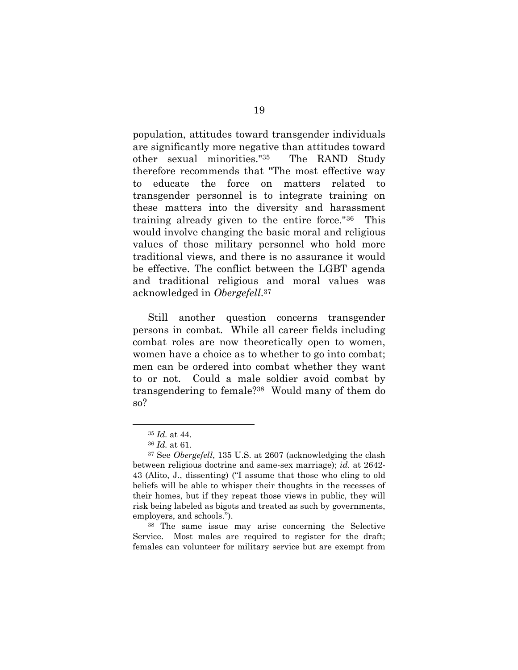population, attitudes toward transgender individuals are significantly more negative than attitudes toward other sexual minorities."35 The RAND Study therefore recommends that "The most effective way to educate the force on matters related to transgender personnel is to integrate training on these matters into the diversity and harassment training already given to the entire force."36 This would involve changing the basic moral and religious values of those military personnel who hold more traditional views, and there is no assurance it would be effective. The conflict between the LGBT agenda and traditional religious and moral values was acknowledged in *Obergefell*. 37

Still another question concerns transgender persons in combat. While all career fields including combat roles are now theoretically open to women, women have a choice as to whether to go into combat; men can be ordered into combat whether they want to or not. Could a male soldier avoid combat by transgendering to female?38 Would many of them do so?

l

<sup>38</sup> The same issue may arise concerning the Selective Service. Most males are required to register for the draft; females can volunteer for military service but are exempt from

<sup>35</sup> *Id.* at 44.

<sup>36</sup> *Id.* at 61.

<sup>37</sup> See *Obergefell*, 135 U.S. at 2607 (acknowledging the clash between religious doctrine and same-sex marriage); *id.* at 2642- 43 (Alito, J., dissenting) ("I assume that those who cling to old beliefs will be able to whisper their thoughts in the recesses of their homes, but if they repeat those views in public, they will risk being labeled as bigots and treated as such by governments, employers, and schools.").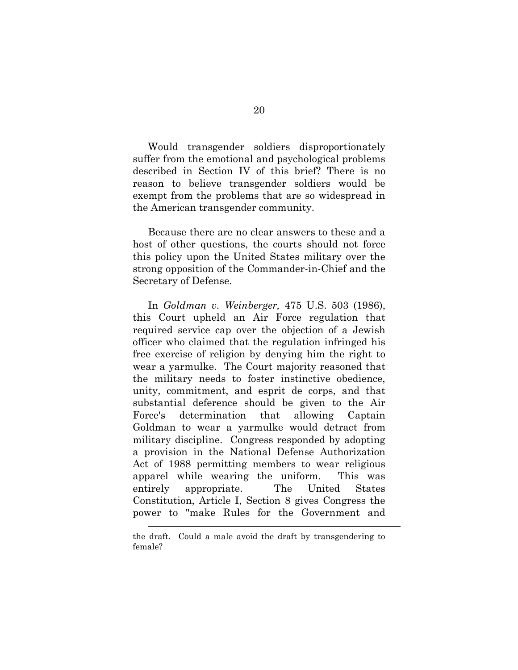Would transgender soldiers disproportionately suffer from the emotional and psychological problems described in Section IV of this brief? There is no reason to believe transgender soldiers would be exempt from the problems that are so widespread in the American transgender community.

Because there are no clear answers to these and a host of other questions, the courts should not force this policy upon the United States military over the strong opposition of the Commander-in-Chief and the Secretary of Defense.

In *Goldman v. Weinberger,* 475 U.S. 503 (1986), this Court upheld an Air Force regulation that required service cap over the objection of a Jewish officer who claimed that the regulation infringed his free exercise of religion by denying him the right to wear a yarmulke. The Court majority reasoned that the military needs to foster instinctive obedience, unity, commitment, and esprit de corps, and that substantial deference should be given to the Air Force's determination that allowing Captain Goldman to wear a yarmulke would detract from military discipline. Congress responded by adopting a provision in the National Defense Authorization Act of 1988 permitting members to wear religious apparel while wearing the uniform. This was entirely appropriate. The United States Constitution, Article I, Section 8 gives Congress the power to "make Rules for the Government and

 $\overline{a}$ 

the draft. Could a male avoid the draft by transgendering to female?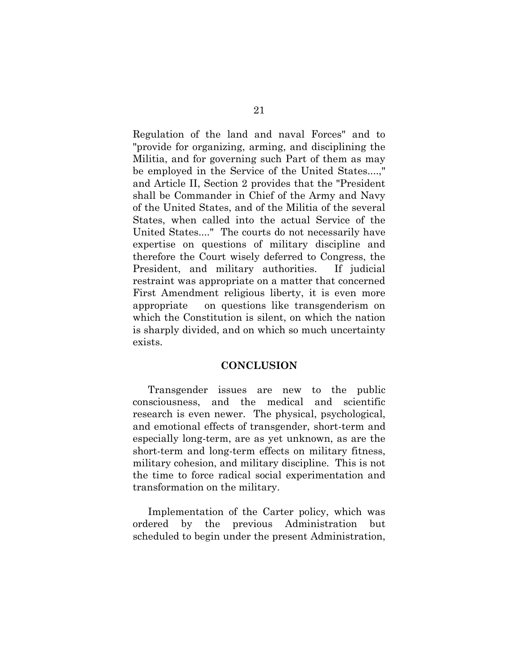Regulation of the land and naval Forces" and to "provide for organizing, arming, and disciplining the Militia, and for governing such Part of them as may be employed in the Service of the United States....," and Article II, Section 2 provides that the "President shall be Commander in Chief of the Army and Navy of the United States, and of the Militia of the several States, when called into the actual Service of the United States...." The courts do not necessarily have expertise on questions of military discipline and therefore the Court wisely deferred to Congress, the President, and military authorities. If judicial restraint was appropriate on a matter that concerned First Amendment religious liberty, it is even more appropriate on questions like transgenderism on which the Constitution is silent, on which the nation is sharply divided, and on which so much uncertainty exists.

#### **CONCLUSION**

Transgender issues are new to the public consciousness, and the medical and scientific research is even newer. The physical, psychological, and emotional effects of transgender, short-term and especially long-term, are as yet unknown, as are the short-term and long-term effects on military fitness, military cohesion, and military discipline. This is not the time to force radical social experimentation and transformation on the military.

Implementation of the Carter policy, which was ordered by the previous Administration but scheduled to begin under the present Administration,